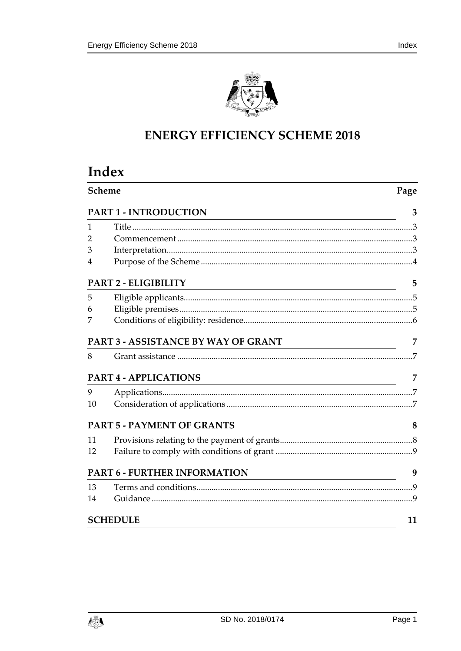

# **ENERGY EFFICIENCY SCHEME 2018**

# Index

| Scheme | Page                                                                                                                                                   |    |
|--------|--------------------------------------------------------------------------------------------------------------------------------------------------------|----|
|        | PART 1 - INTRODUCTION                                                                                                                                  | 3  |
| 1      |                                                                                                                                                        |    |
| 2      |                                                                                                                                                        |    |
| 3      |                                                                                                                                                        |    |
| 4      |                                                                                                                                                        |    |
|        | PART 2 - ELIGIBILITY<br><u> 1989 - Johann Stoff, amerikansk politiker (* 1908)</u>                                                                     | 5  |
| 5      |                                                                                                                                                        |    |
| 6      |                                                                                                                                                        |    |
| 7      |                                                                                                                                                        |    |
|        | PART 3 - ASSISTANCE BY WAY OF GRANT                                                                                                                    | 7  |
| 8      |                                                                                                                                                        |    |
|        | <b>PART 4 - APPLICATIONS</b><br><u> 1989 - Johann Stoff, deutscher Stoffen und der Stoffen und der Stoffen und der Stoffen und der Stoffen und der</u> | 7  |
| 9      |                                                                                                                                                        |    |
| 10     |                                                                                                                                                        |    |
|        | <b>PART 5 - PAYMENT OF GRANTS</b>                                                                                                                      | 8  |
| 11     |                                                                                                                                                        |    |
| 12     |                                                                                                                                                        |    |
|        | PART 6 - FURTHER INFORMATION<br><u> 1989 - Johann Barbara, martin amerikan basar dan bahasa dalam pengaran basar dalam pengaran basar dalam peng</u>   | 9  |
| 13     |                                                                                                                                                        |    |
| 14     |                                                                                                                                                        |    |
|        | <b>SCHEDULE</b>                                                                                                                                        | 11 |

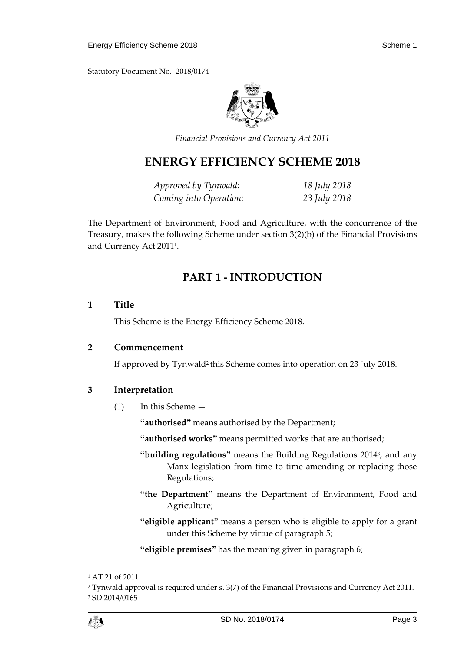Statutory Document No. 2018/0174



*Financial Provisions and Currency Act 2011*

## **ENERGY EFFICIENCY SCHEME 2018**

*Approved by Tynwald: 18 July 2018 Coming into Operation: 23 July 2018*

<span id="page-2-0"></span>The Department of Environment, Food and Agriculture, with the concurrence of the Treasury, makes the following Scheme under section 3(2)(b) of the Financial Provisions and Currency Act 2011<sup>1</sup> .

## **PART 1 - INTRODUCTION**

#### <span id="page-2-1"></span>**1 Title**

This Scheme is the Energy Efficiency Scheme 2018.

#### <span id="page-2-2"></span>**2 Commencement**

If approved by Tynwald<sup>2</sup> this Scheme comes into operation on 23 July 2018.

#### <span id="page-2-3"></span>**3 Interpretation**

(1) In this Scheme —

**"authorised"** means authorised by the Department;

**"authorised works"** means permitted works that are authorised;

- **"building regulations"** means the Building Regulations 2014<sup>3</sup> , and any Manx legislation from time to time amending or replacing those Regulations;
- **"the Department"** means the Department of Environment, Food and Agriculture;
- **"eligible applicant"** means a person who is eligible to apply for a grant under this Scheme by virtue of paragraph 5;

**"eligible premises"** has the meaning given in paragraph 6;

1

<sup>1</sup> AT 21 of 2011

<sup>2</sup> Tynwald approval is required under s. 3(7) of the Financial Provisions and Currency Act 2011. <sup>3</sup> SD 2014/0165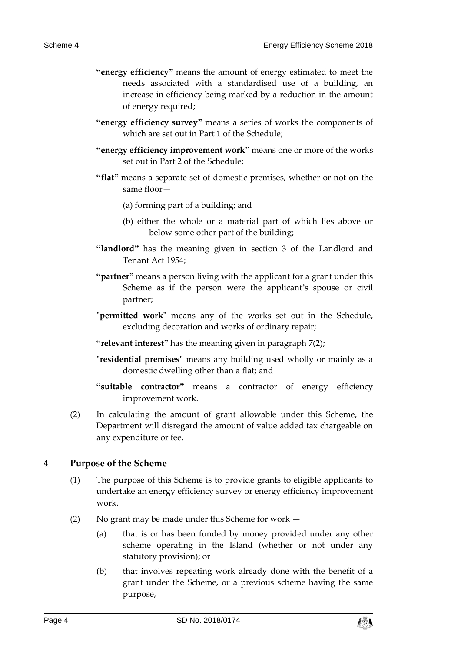- **"energy efficiency"** means the amount of energy estimated to meet the needs associated with a standardised use of a building, an increase in efficiency being marked by a reduction in the amount of energy required;
- **"energy efficiency survey"** means a series of works the components of which are set out in Part 1 of the Schedule;
- **"energy efficiency improvement work"** means one or more of the works set out in Part 2 of the Schedule;
- **"flat"** means a separate set of domestic premises, whether or not on the same floor—
	- (a) forming part of a building; and
	- (b) either the whole or a material part of which lies above or below some other part of the building;
- **"landlord"** has the meaning given in section 3 of the Landlord and Tenant Act 1954;
- **"partner"** means a person living with the applicant for a grant under this Scheme as if the person were the applicant's spouse or civil partner;
- **"permitted work"** means any of the works set out in the Schedule, excluding decoration and works of ordinary repair;
- **"relevant interest"** has the meaning given in paragraph 7(2);
- **"residential premises"** means any building used wholly or mainly as a domestic dwelling other than a flat; and
- **"suitable contractor"** means a contractor of energy efficiency improvement work.
- (2) In calculating the amount of grant allowable under this Scheme, the Department will disregard the amount of value added tax chargeable on any expenditure or fee.

#### <span id="page-3-0"></span>**4 Purpose of the Scheme**

- (1) The purpose of this Scheme is to provide grants to eligible applicants to undertake an energy efficiency survey or energy efficiency improvement work.
- (2) No grant may be made under this Scheme for work
	- (a) that is or has been funded by money provided under any other scheme operating in the Island (whether or not under any statutory provision); or
	- (b) that involves repeating work already done with the benefit of a grant under the Scheme, or a previous scheme having the same purpose,

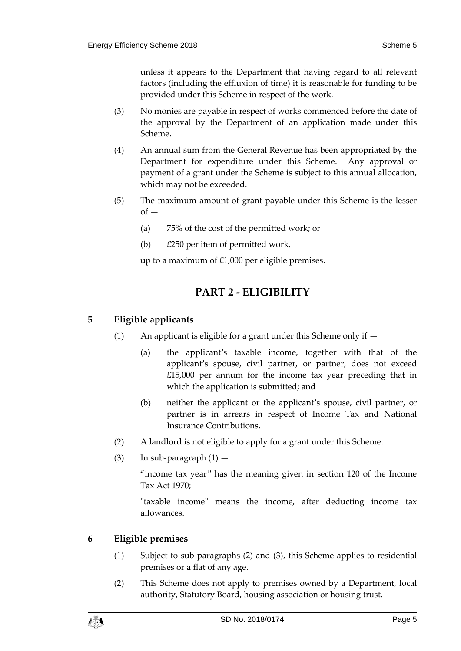unless it appears to the Department that having regard to all relevant factors (including the effluxion of time) it is reasonable for funding to be provided under this Scheme in respect of the work.

- (3) No monies are payable in respect of works commenced before the date of the approval by the Department of an application made under this Scheme.
- (4) An annual sum from the General Revenue has been appropriated by the Department for expenditure under this Scheme. Any approval or payment of a grant under the Scheme is subject to this annual allocation, which may not be exceeded.
- (5) The maximum amount of grant payable under this Scheme is the lesser  $of -$ 
	- (a) 75% of the cost of the permitted work; or
	- (b) £250 per item of permitted work,

up to a maximum of £1,000 per eligible premises.

## **PART 2 - ELIGIBILITY**

#### <span id="page-4-1"></span><span id="page-4-0"></span>**5 Eligible applicants**

- (1) An applicant is eligible for a grant under this Scheme only if  $-$ 
	- (a) the applicant's taxable income, together with that of the applicant's spouse, civil partner, or partner, does not exceed £15,000 per annum for the income tax year preceding that in which the application is submitted; and
	- (b) neither the applicant or the applicant's spouse, civil partner, or partner is in arrears in respect of Income Tax and National Insurance Contributions.
- (2) A landlord is not eligible to apply for a grant under this Scheme.
- (3) In sub-paragraph  $(1)$  —

"income tax year" has the meaning given in section 120 of the Income Tax Act 1970;

"taxable income" means the income, after deducting income tax allowances.

#### <span id="page-4-2"></span>**6 Eligible premises**

- (1) Subject to sub-paragraphs (2) and (3), this Scheme applies to residential premises or a flat of any age.
- (2) This Scheme does not apply to premises owned by a Department, local authority, Statutory Board, housing association or housing trust.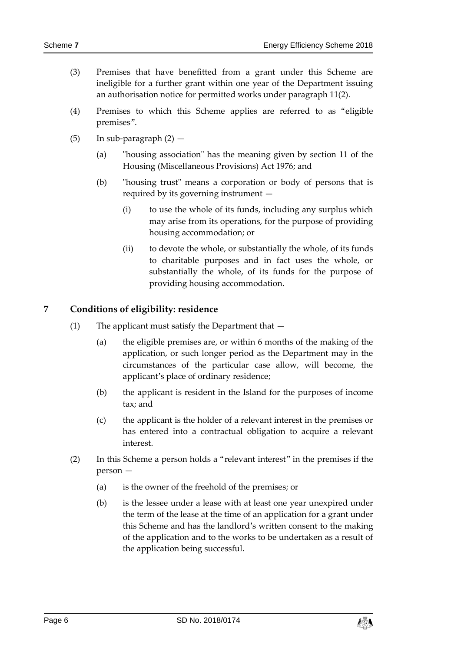- (3) Premises that have benefitted from a grant under this Scheme are ineligible for a further grant within one year of the Department issuing an authorisation notice for permitted works under paragraph 11(2).
- (4) Premises to which this Scheme applies are referred to as "eligible premises".
- (5) In sub-paragraph  $(2)$ 
	- (a) "housing association" has the meaning given by section 11 of the Housing (Miscellaneous Provisions) Act 1976; and
	- (b) "housing trust" means a corporation or body of persons that is required by its governing instrument —
		- (i) to use the whole of its funds, including any surplus which may arise from its operations, for the purpose of providing housing accommodation; or
		- (ii) to devote the whole, or substantially the whole, of its funds to charitable purposes and in fact uses the whole, or substantially the whole, of its funds for the purpose of providing housing accommodation.

#### <span id="page-5-0"></span>**7 Conditions of eligibility: residence**

- (1) The applicant must satisfy the Department that
	- (a) the eligible premises are, or within 6 months of the making of the application, or such longer period as the Department may in the circumstances of the particular case allow, will become, the applicant's place of ordinary residence;
	- (b) the applicant is resident in the Island for the purposes of income tax; and
	- (c) the applicant is the holder of a relevant interest in the premises or has entered into a contractual obligation to acquire a relevant interest.
- (2) In this Scheme a person holds a "relevant interest" in the premises if the person —
	- (a) is the owner of the freehold of the premises; or
	- (b) is the lessee under a lease with at least one year unexpired under the term of the lease at the time of an application for a grant under this Scheme and has the landlord's written consent to the making of the application and to the works to be undertaken as a result of the application being successful.

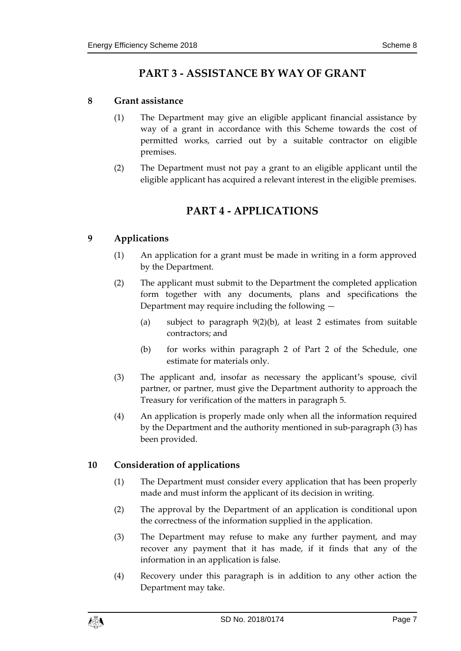## **PART 3 - ASSISTANCE BY WAY OF GRANT**

#### <span id="page-6-1"></span><span id="page-6-0"></span>**8 Grant assistance**

- (1) The Department may give an eligible applicant financial assistance by way of a grant in accordance with this Scheme towards the cost of permitted works, carried out by a suitable contractor on eligible premises.
- <span id="page-6-2"></span>(2) The Department must not pay a grant to an eligible applicant until the eligible applicant has acquired a relevant interest in the eligible premises.

## **PART 4 - APPLICATIONS**

#### <span id="page-6-3"></span>**9 Applications**

- (1) An application for a grant must be made in writing in a form approved by the Department.
- (2) The applicant must submit to the Department the completed application form together with any documents, plans and specifications the Department may require including the following —
	- (a) subject to paragraph 9(2)(b), at least 2 estimates from suitable contractors; and
	- (b) for works within paragraph 2 of Part 2 of the Schedule, one estimate for materials only.
- (3) The applicant and, insofar as necessary the applicant's spouse, civil partner, or partner, must give the Department authority to approach the Treasury for verification of the matters in paragraph 5.
- (4) An application is properly made only when all the information required by the Department and the authority mentioned in sub-paragraph (3) has been provided.

#### <span id="page-6-4"></span>**10 Consideration of applications**

- (1) The Department must consider every application that has been properly made and must inform the applicant of its decision in writing.
- (2) The approval by the Department of an application is conditional upon the correctness of the information supplied in the application.
- (3) The Department may refuse to make any further payment, and may recover any payment that it has made, if it finds that any of the information in an application is false.
- (4) Recovery under this paragraph is in addition to any other action the Department may take.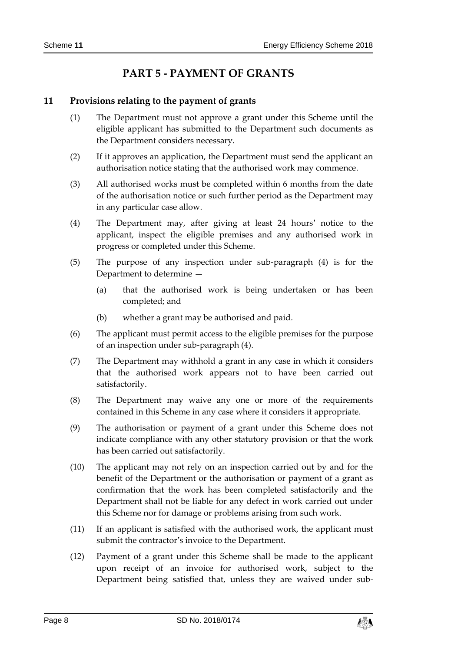## **PART 5 - PAYMENT OF GRANTS**

#### <span id="page-7-1"></span><span id="page-7-0"></span>**11 Provisions relating to the payment of grants**

- (1) The Department must not approve a grant under this Scheme until the eligible applicant has submitted to the Department such documents as the Department considers necessary.
- (2) If it approves an application, the Department must send the applicant an authorisation notice stating that the authorised work may commence.
- (3) All authorised works must be completed within 6 months from the date of the authorisation notice or such further period as the Department may in any particular case allow.
- (4) The Department may, after giving at least 24 hours' notice to the applicant, inspect the eligible premises and any authorised work in progress or completed under this Scheme.
- (5) The purpose of any inspection under sub-paragraph (4) is for the Department to determine —
	- (a) that the authorised work is being undertaken or has been completed; and
	- (b) whether a grant may be authorised and paid.
- (6) The applicant must permit access to the eligible premises for the purpose of an inspection under sub-paragraph (4).
- (7) The Department may withhold a grant in any case in which it considers that the authorised work appears not to have been carried out satisfactorily.
- (8) The Department may waive any one or more of the requirements contained in this Scheme in any case where it considers it appropriate.
- (9) The authorisation or payment of a grant under this Scheme does not indicate compliance with any other statutory provision or that the work has been carried out satisfactorily.
- (10) The applicant may not rely on an inspection carried out by and for the benefit of the Department or the authorisation or payment of a grant as confirmation that the work has been completed satisfactorily and the Department shall not be liable for any defect in work carried out under this Scheme nor for damage or problems arising from such work.
- (11) If an applicant is satisfied with the authorised work, the applicant must submit the contractor's invoice to the Department.
- (12) Payment of a grant under this Scheme shall be made to the applicant upon receipt of an invoice for authorised work, subject to the Department being satisfied that, unless they are waived under sub-

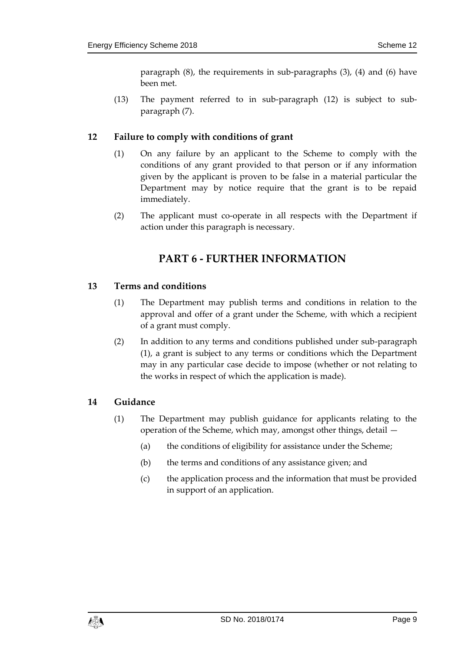paragraph (8), the requirements in sub-paragraphs (3), (4) and (6) have been met.

(13) The payment referred to in sub-paragraph (12) is subject to subparagraph (7).

#### <span id="page-8-0"></span>**12 Failure to comply with conditions of grant**

- (1) On any failure by an applicant to the Scheme to comply with the conditions of any grant provided to that person or if any information given by the applicant is proven to be false in a material particular the Department may by notice require that the grant is to be repaid immediately.
- <span id="page-8-1"></span>(2) The applicant must co-operate in all respects with the Department if action under this paragraph is necessary.

## **PART 6 - FURTHER INFORMATION**

#### <span id="page-8-2"></span>**13 Terms and conditions**

- (1) The Department may publish terms and conditions in relation to the approval and offer of a grant under the Scheme, with which a recipient of a grant must comply.
- (2) In addition to any terms and conditions published under sub-paragraph (1), a grant is subject to any terms or conditions which the Department may in any particular case decide to impose (whether or not relating to the works in respect of which the application is made).

#### <span id="page-8-3"></span>**14 Guidance**

- (1) The Department may publish guidance for applicants relating to the operation of the Scheme, which may, amongst other things, detail —
	- (a) the conditions of eligibility for assistance under the Scheme;
	- (b) the terms and conditions of any assistance given; and
	- (c) the application process and the information that must be provided in support of an application.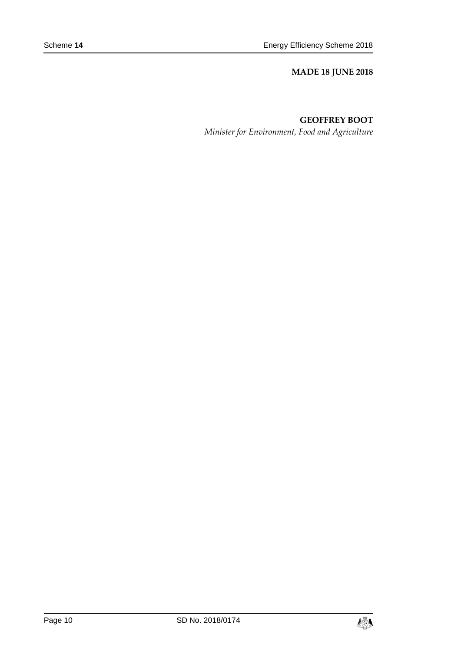#### **MADE 18 JUNE 2018**

#### **GEOFFREY BOOT**

*Minister for Environment, Food and Agriculture*

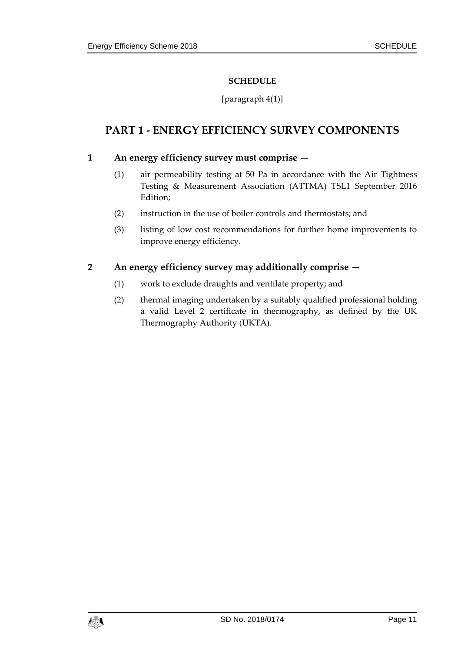#### **SCHEDULE**

#### [paragraph 4(1)]

## <span id="page-10-0"></span>**PART 1 - ENERGY EFFICIENCY SURVEY COMPONENTS**

#### **1 An energy efficiency survey must comprise —**

- (1) air permeability testing at 50 Pa in accordance with the Air Tightness Testing & Measurement Association (ATTMA) TSL1 September 2016 Edition;
- (2) instruction in the use of boiler controls and thermostats; and
- (3) listing of low cost recommendations for further home improvements to improve energy efficiency.

#### **2 An energy efficiency survey may additionally comprise —**

- (1) work to exclude draughts and ventilate property; and
- (2) thermal imaging undertaken by a suitably qualified professional holding a valid Level 2 certificate in thermography, as defined by the UK Thermography Authority (UKTA).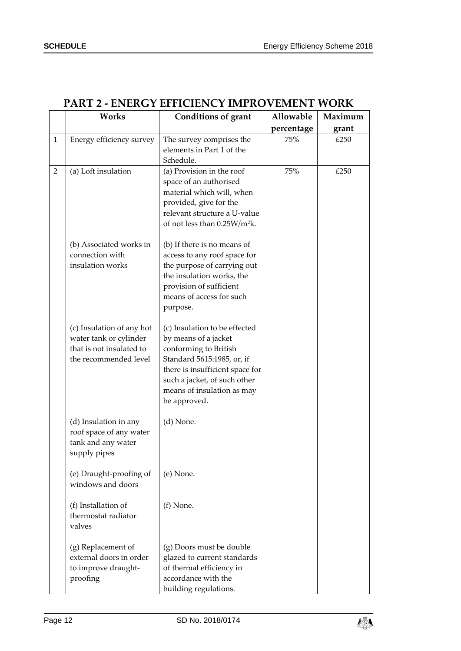|              | Works                                                                                                    | <b>Conditions of grant</b>                                                                                                                                                                                                    | Allowable  | Maximum |
|--------------|----------------------------------------------------------------------------------------------------------|-------------------------------------------------------------------------------------------------------------------------------------------------------------------------------------------------------------------------------|------------|---------|
|              |                                                                                                          |                                                                                                                                                                                                                               | percentage | grant   |
| $\mathbf{1}$ | Energy efficiency survey                                                                                 | The survey comprises the<br>elements in Part 1 of the<br>Schedule.                                                                                                                                                            | 75%        | £250    |
| 2            | (a) Loft insulation                                                                                      | (a) Provision in the roof<br>space of an authorised<br>material which will, when<br>provided, give for the<br>relevant structure a U-value<br>of not less than 0.25W/m <sup>2</sup> k.                                        | 75%        | £250    |
|              | (b) Associated works in<br>connection with<br>insulation works                                           | (b) If there is no means of<br>access to any roof space for<br>the purpose of carrying out<br>the insulation works, the<br>provision of sufficient<br>means of access for such<br>purpose.                                    |            |         |
|              | (c) Insulation of any hot<br>water tank or cylinder<br>that is not insulated to<br>the recommended level | (c) Insulation to be effected<br>by means of a jacket<br>conforming to British<br>Standard 5615:1985, or, if<br>there is insufficient space for<br>such a jacket, of such other<br>means of insulation as may<br>be approved. |            |         |
|              | (d) Insulation in any<br>roof space of any water<br>tank and any water<br>supply pipes                   | $(d)$ None.                                                                                                                                                                                                                   |            |         |
|              | (e) Draught-proofing of<br>windows and doors                                                             | (e) None.                                                                                                                                                                                                                     |            |         |
|              | (f) Installation of<br>thermostat radiator<br>valves                                                     | (f) None.                                                                                                                                                                                                                     |            |         |
|              | (g) Replacement of<br>external doors in order<br>to improve draught-<br>proofing                         | (g) Doors must be double<br>glazed to current standards<br>of thermal efficiency in<br>accordance with the<br>building regulations.                                                                                           |            |         |

### **PART 2 - ENERGY EFFICIENCY IMPROVEMENT WORK**

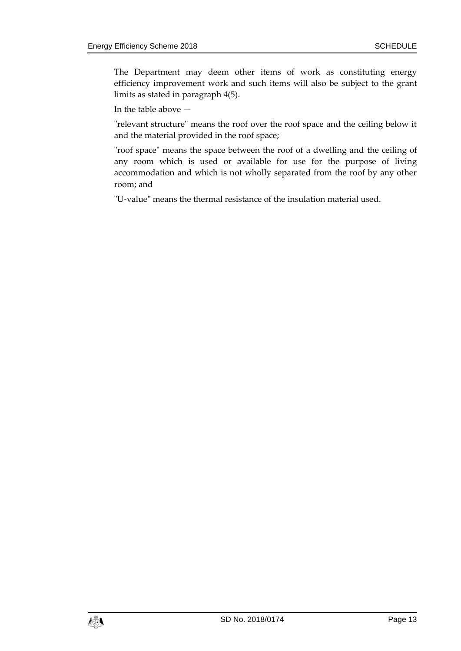The Department may deem other items of work as constituting energy efficiency improvement work and such items will also be subject to the grant limits as stated in paragraph 4(5).

In the table above —

"relevant structure" means the roof over the roof space and the ceiling below it and the material provided in the roof space;

"roof space" means the space between the roof of a dwelling and the ceiling of any room which is used or available for use for the purpose of living accommodation and which is not wholly separated from the roof by any other room; and

"U-value" means the thermal resistance of the insulation material used.